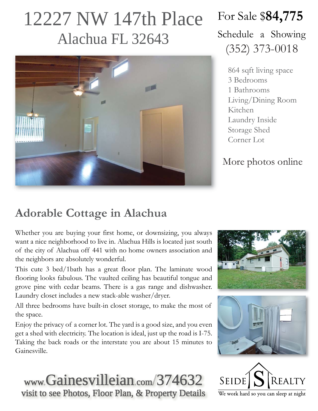# 12227 NW 147th Place Alachua FL 32643



### For Sale \$ **84,775**Schedule a Showing (352) 373-0018

864 sqft living space 3 Bedrooms 1 Bathrooms Living/Dining Room Kitchen Laundry Inside Storage Shed Corner Lot

#### More photos online

### **Adorable Cottage in Alachua**

Whether you are buying your first home, or downsizing, you always want a nice neighborhood to live in. Alachua Hills is located just south of the city of Alachua off 441 with no home owners association and the neighbors are absolutely wonderful.

This cute 3 bed/1bath has a great floor plan. The laminate wood flooring looks fabulous. The vaulted ceiling has beautiful tongue and grove pine with cedar beams. There is a gas range and dishwasher. Laundry closet includes a new stack-able washer/dryer.

All three bedrooms have built-in closet storage, to make the most of the space.

Enjoy the privacy of a corner lot. The yard is a good size, and you even get a shed with electricity. The location is ideal, just up the road is I-75. Taking the back roads or the interstate you are about 15 minutes to Gainesville.

### www.Gainesvilleian.com/374632 visit to see Photos, Floor Plan, & Property Details